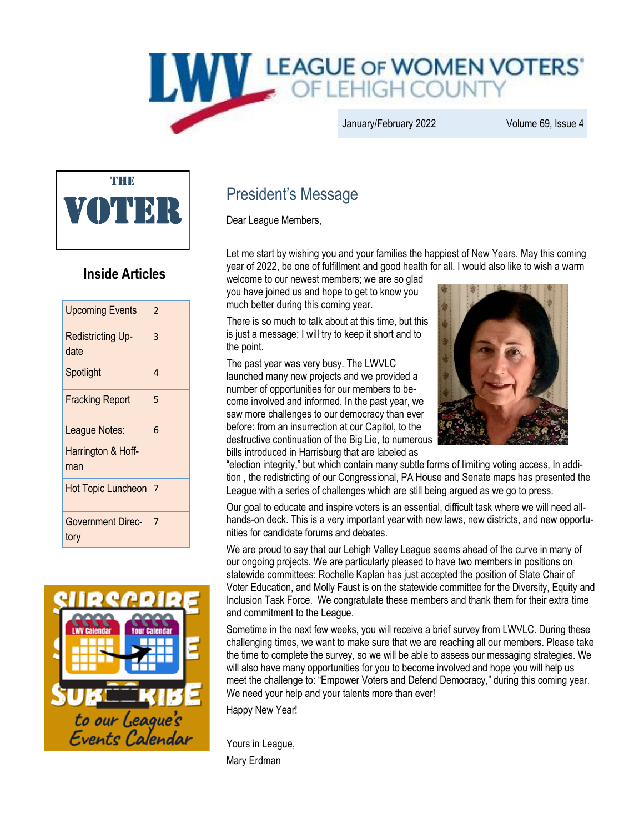# **WE LEAGUE OF WOMEN VOTERS'**<br>OF LEHIGH COUNTY

January/February 2022 Volume 69, Issue 4



#### **Inside Articles**

| $\overline{2}$ |
|----------------|
| 3              |
| 4              |
| 5              |
| 6              |
|                |
| 7              |
| 7              |
|                |



# President's Message

Dear League Members,

Let me start by wishing you and your families the happiest of New Years. May this coming year of 2022, be one of fulfillment and good health for all. I would also like to wish a warm

welcome to our newest members; we are so glad you have joined us and hope to get to know you much better during this coming year.

There is so much to talk about at this time, but this is just a message; I will try to keep it short and to the point.

The past year was very busy. The LWVLC launched many new projects and we provided a number of opportunities for our members to become involved and informed. In the past year, we saw more challenges to our democracy than ever before: from an insurrection at our Capitol, to the destructive continuation of the Big Lie, to numerous bills introduced in Harrisburg that are labeled as



"election integrity," but which contain many subtle forms of limiting voting access, In addition , the redistricting of our Congressional, PA House and Senate maps has presented the League with a series of challenges which are still being argued as we go to press.

Our goal to educate and inspire voters is an essential, difficult task where we will need allhands-on deck. This is a very important year with new laws, new districts, and new opportunities for candidate forums and debates.

We are proud to say that our Lehigh Valley League seems ahead of the curve in many of our ongoing projects. We are particularly pleased to have two members in positions on statewide committees: Rochelle Kaplan has just accepted the position of State Chair of Voter Education, and Molly Faust is on the statewide committee for the Diversity, Equity and Inclusion Task Force. We congratulate these members and thank them for their extra time and commitment to the League.

Sometime in the next few weeks, you will receive a brief survey from LWVLC. During these challenging times, we want to make sure that we are reaching all our members. Please take the time to complete the survey, so we will be able to assess our messaging strategies. We will also have many opportunities for you to become involved and hope you will help us meet the challenge to: "Empower Voters and Defend Democracy," during this coming year. We need your help and your talents more than ever!

Happy New Year!

Yours in League, Mary Erdman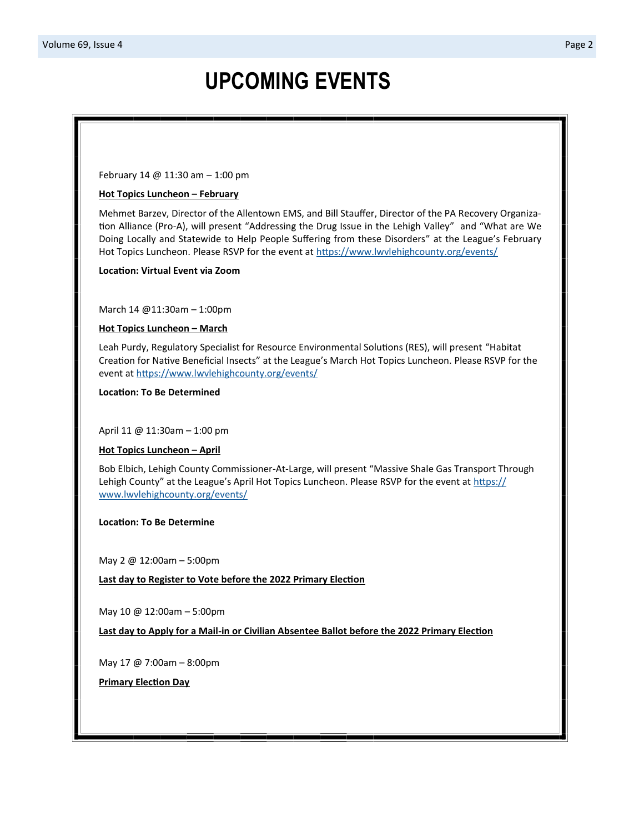# **UPCOMING EVENTS**

February 14 @ 11:30 am – 1:00 pm

#### **Hot Topics Luncheon – February**

Mehmet Barzev, Director of the Allentown EMS, and Bill Stauffer, Director of the PA Recovery Organization Alliance (Pro-A), will present "Addressing the Drug Issue in the Lehigh Valley" and "What are We Doing Locally and Statewide to Help People Suffering from these Disorders" at the League's February Hot Topics Luncheon. Please RSVP for the event at <https://www.lwvlehighcounty.org/events/>

**Location: Virtual Event via Zoom**

March 14 @11:30am – 1:00pm

**Hot Topics Luncheon – March**

Leah Purdy, Regulatory Specialist for Resource Environmental Solutions (RES), will present "Habitat Creation for Native Beneficial Insects" at the League's March Hot Topics Luncheon. Please RSVP for the event at <https://www.lwvlehighcounty.org/events/>

**Location: To Be Determined**

April 11 @ 11:30am – 1:00 pm

#### **Hot Topics Luncheon – April**

Bob Elbich, Lehigh County Commissioner-At-Large, will present "Massive Shale Gas Transport Through Lehigh County" at the League's April Hot Topics Luncheon. Please RSVP for the event at [https://](https://www.lwvlehighcounty.org/events/) [www.lwvlehighcounty.org/events/](https://www.lwvlehighcounty.org/events/)

**Location: To Be Determine**

May 2 @ 12:00am – 5:00pm

**Last day to Register to Vote before the 2022 Primary Election**

May 10 @ 12:00am – 5:00pm

**Last day to Apply for a Mail-in or Civilian Absentee Ballot before the 2022 Primary Election**

May 17 @ 7:00am – 8:00pm

**Primary Election Day**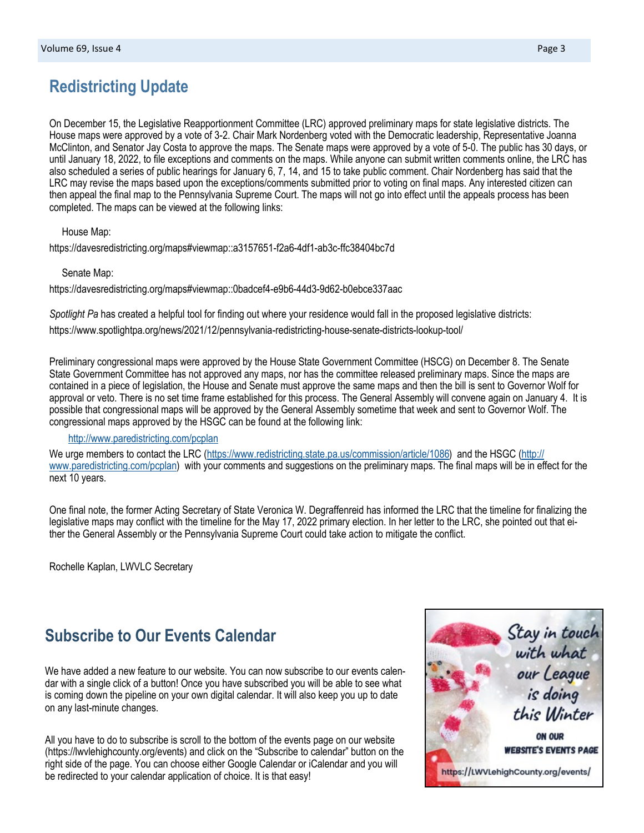### **Redistricting Update**

On December 15, the Legislative Reapportionment Committee (LRC) approved preliminary maps for state legislative districts. The House maps were approved by a vote of 3-2. Chair Mark Nordenberg voted with the Democratic leadership, Representative Joanna McClinton, and Senator Jay Costa to approve the maps. The Senate maps were approved by a vote of 5-0. The public has 30 days, or until January 18, 2022, to file exceptions and comments on the maps. While anyone can submit written comments online, the LRC has also scheduled a series of public hearings for January 6, 7, 14, and 15 to take public comment. Chair Nordenberg has said that the LRC may revise the maps based upon the exceptions/comments submitted prior to voting on final maps. Any interested citizen can then appeal the final map to the Pennsylvania Supreme Court. The maps will not go into effect until the appeals process has been completed. The maps can be viewed at the following links:

House Map:

https://davesredistricting.org/maps#viewmap::a3157651-f2a6-4df1-ab3c-ffc38404bc7d

Senate Map:

https://davesredistricting.org/maps#viewmap::0badcef4-e9b6-44d3-9d62-b0ebce337aac

*Spotlight Pa* has created a helpful tool for finding out where your residence would fall in the proposed legislative districts:

https://www.spotlightpa.org/news/2021/12/pennsylvania-redistricting-house-senate-districts-lookup-tool/

Preliminary congressional maps were approved by the House State Government Committee (HSCG) on December 8. The Senate State Government Committee has not approved any maps, nor has the committee released preliminary maps. Since the maps are contained in a piece of legislation, the House and Senate must approve the same maps and then the bill is sent to Governor Wolf for approval or veto. There is no set time frame established for this process. The General Assembly will convene again on January 4. It is possible that congressional maps will be approved by the General Assembly sometime that week and sent to Governor Wolf. The congressional maps approved by the HSGC can be found at the following link:

#### <http://www.paredistricting.com/pcplan>

We urge members to contact the LRC ([https://www.redistricting.state.pa.us/commission/article/1086\)](https://www.redistricting.state.pa.us/commission/article/1086) and the HSGC [\(http://](http://www.paredistricting.com/pcplan) [www.paredistricting.com/pcplan\)](http://www.paredistricting.com/pcplan) with your comments and suggestions on the preliminary maps. The final maps will be in effect for the next 10 years.

One final note, the former Acting Secretary of State Veronica W. Degraffenreid has informed the LRC that the timeline for finalizing the legislative maps may conflict with the timeline for the May 17, 2022 primary election. In her letter to the LRC, she pointed out that either the General Assembly or the Pennsylvania Supreme Court could take action to mitigate the conflict.

Rochelle Kaplan, LWVLC Secretary

#### **Subscribe to Our Events Calendar**

We have added a new feature to our website. You can now subscribe to our events calendar with a single click of a button! Once you have subscribed you will be able to see what is coming down the pipeline on your own digital calendar. It will also keep you up to date on any last-minute changes.

All you have to do to subscribe is scroll to the bottom of the events page on our website (https://lwvlehighcounty.org/events) and click on the "Subscribe to calendar" button on the right side of the page. You can choose either Google Calendar or iCalendar and you will be redirected to your calendar application of choice. It is that easy!

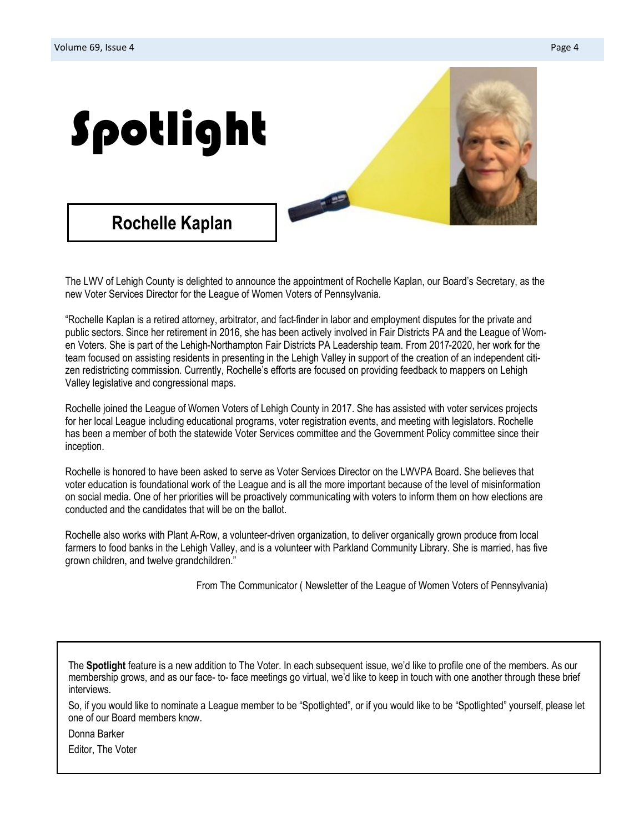# Spotlight

## **Rochelle Kaplan**

The LWV of Lehigh County is delighted to announce the appointment of Rochelle Kaplan, our Board's Secretary, as the new Voter Services Director for the League of Women Voters of Pennsylvania.

"Rochelle Kaplan is a retired attorney, arbitrator, and fact-finder in labor and employment disputes for the private and public sectors. Since her retirement in 2016, she has been actively involved in Fair Districts PA and the League of Women Voters. She is part of the Lehigh-Northampton Fair Districts PA Leadership team. From 2017-2020, her work for the team focused on assisting residents in presenting in the Lehigh Valley in support of the creation of an independent citizen redistricting commission. Currently, Rochelle's efforts are focused on providing feedback to mappers on Lehigh Valley legislative and congressional maps.

Rochelle joined the League of Women Voters of Lehigh County in 2017. She has assisted with voter services projects for her local League including educational programs, voter registration events, and meeting with legislators. Rochelle has been a member of both the statewide Voter Services committee and the Government Policy committee since their inception.

Rochelle is honored to have been asked to serve as Voter Services Director on the LWVPA Board. She believes that voter education is foundational work of the League and is all the more important because of the level of misinformation on social media. One of her priorities will be proactively communicating with voters to inform them on how elections are conducted and the candidates that will be on the ballot.

Rochelle also works with Plant A-Row, a volunteer-driven organization, to deliver organically grown produce from local farmers to food banks in the Lehigh Valley, and is a volunteer with Parkland Community Library. She is married, has five grown children, and twelve grandchildren."

From The Communicator ( Newsletter of the League of Women Voters of Pennsylvania)

The **Spotlight** feature is a new addition to The Voter. In each subsequent issue, we'd like to profile one of the members. As our membership grows, and as our face- to- face meetings go virtual, we'd like to keep in touch with one another through these brief interviews.

So, if you would like to nominate a League member to be "Spotlighted", or if you would like to be "Spotlighted" yourself, please let one of our Board members know.

Donna Barker

Editor, The Voter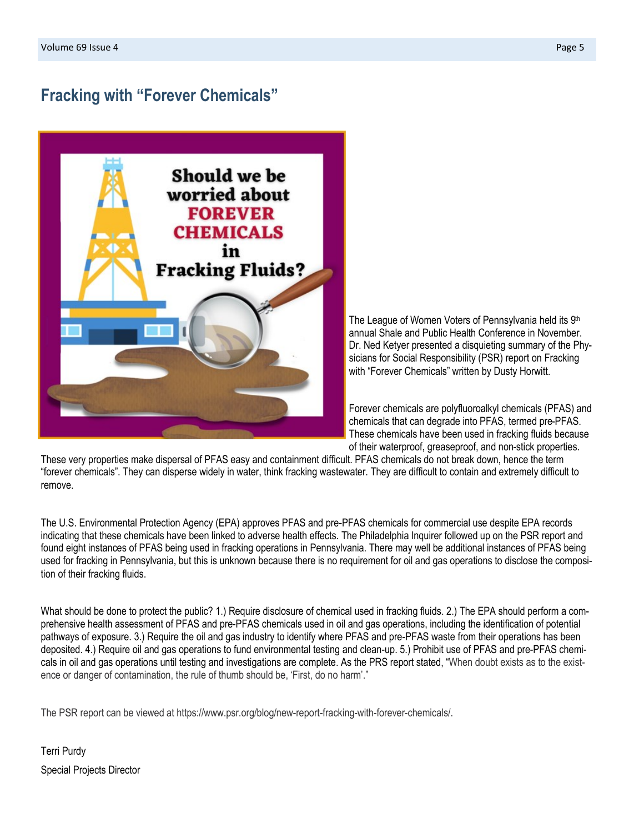#### **Fracking with "Forever Chemicals"**



The League of Women Voters of Pennsylvania held its 9th annual Shale and Public Health Conference in November. Dr. Ned Ketyer presented a disquieting summary of the Physicians for Social Responsibility (PSR) report on Fracking with "Forever Chemicals" written by Dusty Horwitt.

Forever chemicals are polyfluoroalkyl chemicals (PFAS) and chemicals that can degrade into PFAS, termed pre-PFAS. These chemicals have been used in fracking fluids because of their waterproof, greaseproof, and non-stick properties.

These very properties make dispersal of PFAS easy and containment difficult. PFAS chemicals do not break down, hence the term "forever chemicals". They can disperse widely in water, think fracking wastewater. They are difficult to contain and extremely difficult to remove.

The U.S. Environmental Protection Agency (EPA) approves PFAS and pre-PFAS chemicals for commercial use despite EPA records indicating that these chemicals have been linked to adverse health effects. The Philadelphia Inquirer followed up on the PSR report and found eight instances of PFAS being used in fracking operations in Pennsylvania. There may well be additional instances of PFAS being used for fracking in Pennsylvania, but this is unknown because there is no requirement for oil and gas operations to disclose the composition of their fracking fluids.

What should be done to protect the public? 1.) Require disclosure of chemical used in fracking fluids. 2.) The EPA should perform a comprehensive health assessment of PFAS and pre-PFAS chemicals used in oil and gas operations, including the identification of potential pathways of exposure. 3.) Require the oil and gas industry to identify where PFAS and pre-PFAS waste from their operations has been deposited. 4.) Require oil and gas operations to fund environmental testing and clean-up. 5.) Prohibit use of PFAS and pre-PFAS chemicals in oil and gas operations until testing and investigations are complete. As the PRS report stated, "When doubt exists as to the existence or danger of contamination, the rule of thumb should be, 'First, do no harm'."

The PSR report can be viewed at https://www.psr.org/blog/new-report-fracking-with-forever-chemicals/.

Terri Purdy Special Projects Director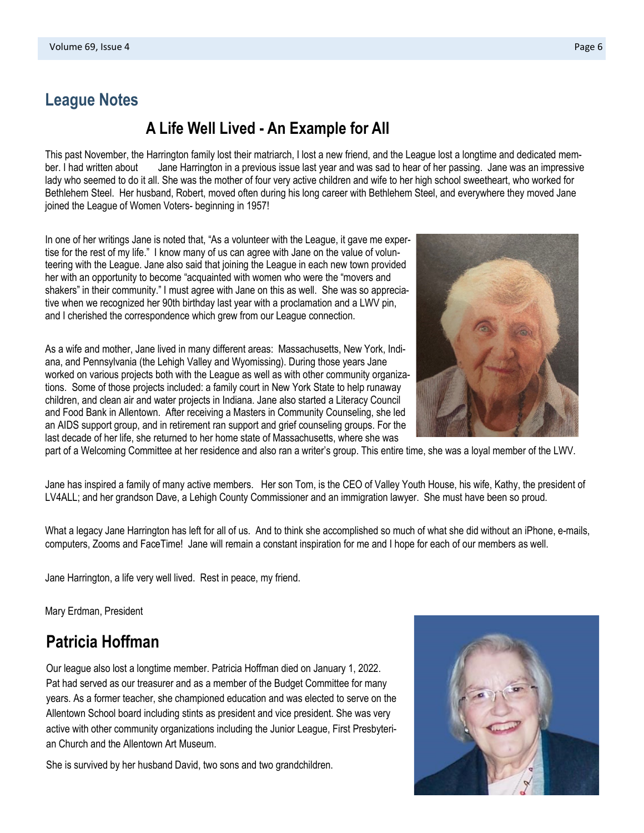#### **League Notes**

#### **A Life Well Lived - An Example for All**

This past November, the Harrington family lost their matriarch, I lost a new friend, and the League lost a longtime and dedicated member. I had written about Jane Harrington in a previous issue last year and was sad to hear of her passing. Jane was an impressive lady who seemed to do it all. She was the mother of four very active children and wife to her high school sweetheart, who worked for Bethlehem Steel. Her husband, Robert, moved often during his long career with Bethlehem Steel, and everywhere they moved Jane joined the League of Women Voters- beginning in 1957!

In one of her writings Jane is noted that, "As a volunteer with the League, it gave me expertise for the rest of my life." I know many of us can agree with Jane on the value of volunteering with the League. Jane also said that joining the League in each new town provided her with an opportunity to become "acquainted with women who were the "movers and shakers" in their community." I must agree with Jane on this as well. She was so appreciative when we recognized her 90th birthday last year with a proclamation and a LWV pin, and I cherished the correspondence which grew from our League connection.

As a wife and mother, Jane lived in many different areas: Massachusetts, New York, Indiana, and Pennsylvania (the Lehigh Valley and Wyomissing). During those years Jane worked on various projects both with the League as well as with other community organizations. Some of those projects included: a family court in New York State to help runaway children, and clean air and water projects in Indiana. Jane also started a Literacy Council and Food Bank in Allentown. After receiving a Masters in Community Counseling, she led an AIDS support group, and in retirement ran support and grief counseling groups. For the last decade of her life, she returned to her home state of Massachusetts, where she was



part of a Welcoming Committee at her residence and also ran a writer's group. This entire time, she was a loyal member of the LWV.

Jane has inspired a family of many active members. Her son Tom, is the CEO of Valley Youth House, his wife, Kathy, the president of LV4ALL; and her grandson Dave, a Lehigh County Commissioner and an immigration lawyer. She must have been so proud.

What a legacy Jane Harrington has left for all of us. And to think she accomplished so much of what she did without an iPhone, e-mails, computers, Zooms and FaceTime! Jane will remain a constant inspiration for me and I hope for each of our members as well.

Jane Harrington, a life very well lived. Rest in peace, my friend.

Mary Erdman, President

#### **Patricia Hoffman**

Our league also lost a longtime member. Patricia Hoffman died on January 1, 2022. Pat had served as our treasurer and as a member of the Budget Committee for many years. As a former teacher, she championed education and was elected to serve on the Allentown School board including stints as president and vice president. She was very active with other community organizations including the Junior League, First Presbyterian Church and the Allentown Art Museum.

She is survived by her husband David, two sons and two grandchildren.

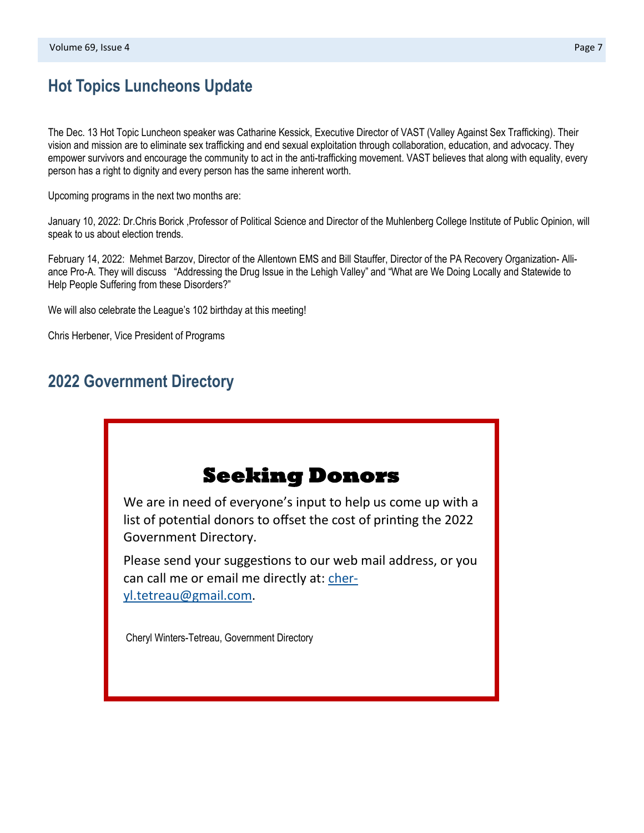#### **Hot Topics Luncheons Update**

The Dec. 13 Hot Topic Luncheon speaker was Catharine Kessick, Executive Director of VAST (Valley Against Sex Trafficking). Their vision and mission are to eliminate sex trafficking and end sexual exploitation through collaboration, education, and advocacy. They empower survivors and encourage the community to act in the anti-trafficking movement. VAST believes that along with equality, every person has a right to dignity and every person has the same inherent worth.

Upcoming programs in the next two months are:

January 10, 2022: Dr.Chris Borick ,Professor of Political Science and Director of the Muhlenberg College Institute of Public Opinion, will speak to us about election trends.

February 14, 2022: Mehmet Barzov, Director of the Allentown EMS and Bill Stauffer, Director of the PA Recovery Organization- Alliance Pro-A. They will discuss "Addressing the Drug Issue in the Lehigh Valley" and "What are We Doing Locally and Statewide to Help People Suffering from these Disorders?"

We will also celebrate the League's 102 birthday at this meeting!

Chris Herbener, Vice President of Programs

#### **2022 Government Directory**

#### **Seeking Donors**

We are in need of everyone's input to help us come up with a list of potential donors to offset the cost of printing the 2022 Government Directory.

Please send your suggestions to our web mail address, or you can call me or email me directly at: [cher](mailto:cheryl.tetreau@gmail.com)[yl.tetreau@gmail.com.](mailto:cheryl.tetreau@gmail.com)

Cheryl Winters-Tetreau, Government Directory